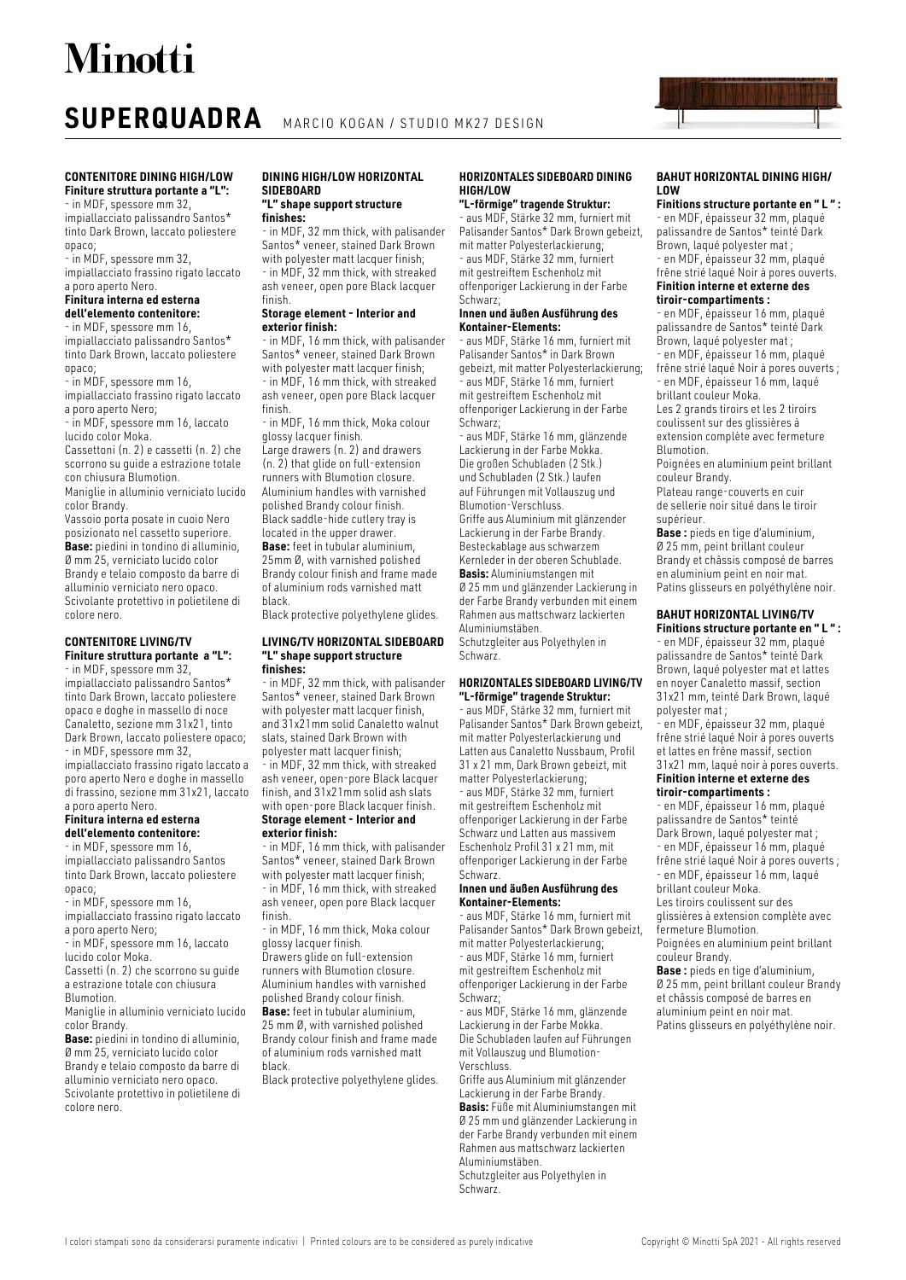## **SUPERQUADRA** MARCIO KOGAN / STUDIO MK27 DESIGN

## **CONTENITORE DINING HIGH/LOW Finiture struttura portante a "L":**

- in MDF, spessore mm 32, impiallacciato palissandro Santos\* tinto Dark Brown, laccato poliestere opaco;

- in MDF, spessore mm 32,

impiallacciato frassino rigato laccato a poro aperto Nero.

### **Finitura interna ed esterna dell'elemento contenitore:**

- in MDF, spessore mm 16, impiallacciato palissandro Santos\* tinto Dark Brown, laccato poliestere opaco;

- in MDF, spessore mm 16, impiallacciato frassino rigato laccato

a poro aperto Nero; - in MDF, spessore mm 16, laccato lucido color Moka.

Cassettoni (n. 2) e cassetti (n. 2) che scorrono su guide a estrazione totale con chiusura Blumotion.

Maniglie in alluminio verniciato lucido color Brandy.

Vassoio porta posate in cuoio Nero posizionato nel cassetto superiore. **Base:** piedini in tondino di alluminio, Ø mm 25, verniciato lucido color Brandy e telaio composto da barre di alluminio verniciato nero opaco. Scivolante protettivo in polietilene di colore nero.

## **CONTENITORE LIVING/TV Finiture struttura portante a "L":**

- in MDF, spessore mm 32, impiallacciato palissandro Santos\* tinto Dark Brown, laccato poliestere opaco e doghe in massello di noce Canaletto, sezione mm 31x21, tinto Dark Brown, laccato poliestere opaco; - in MDF, spessore mm 32, impiallacciato frassino rigato laccato a poro aperto Nero e doghe in massello di frassino, sezione mm 31x21, laccato a poro aperto Nero.

### **Finitura interna ed esterna dell'elemento contenitore:**

- in MDF, spessore mm 16, impiallacciato palissandro Santos tinto Dark Brown, laccato poliestere opaco;

- in MDF, spessore mm 16,

impiallacciato frassino rigato laccato a poro aperto Nero;

- in MDF, spessore mm 16, laccato

lucido color Moka.

Cassetti (n. 2) che scorrono su guide a estrazione totale con chiusura Blumotion.

Maniglie in alluminio verniciato lucido

color Brandy. **Base:** piedini in tondino di alluminio, Ø mm 25, verniciato lucido color Brandy e telaio composto da barre di alluminio verniciato nero opaco. Scivolante protettivo in polietilene di colore nero.

## **DINING HIGH/LOW HORIZONTAL SIDEBOARD**

### **"L" shape support structure finishes:**

- in MDF, 32 mm thick, with palisander Santos\* veneer, stained Dark Brown with polyester matt lacquer finish; - in MDF, 32 mm thick, with streaked ash veneer, open pore Black lacquer finish.

## **Storage element - Interior and exterior finish:**

- in MDF, 16 mm thick, with palisander Santos\* veneer, stained Dark Brown with polyester matt lacquer finish; - in MDF, 16 mm thick, with streaked ash veneer, open pore Black lacquer finish.

- in MDF, 16 mm thick, Moka colour glossy lacquer finish.

Large drawers (n. 2) and drawers (n. 2) that glide on full-extension runners with Blumotion closure. Aluminium handles with varnished polished Brandy colour finish. Black saddle-hide cutlery tray is located in the upper drawer. **Base:** feet in tubular aluminium, 25mm Ø, with varnished polished Brandy colour finish and frame made of aluminium rods varnished matt black.

Black protective polyethylene glides.

## **LIVING/TV HORIZONTAL SIDEBOARD "L" shape support structure finishes:**

- in MDF, 32 mm thick, with palisander Santos\* veneer, stained Dark Brown with polyester matt lacquer finish. and 31x21mm solid Canaletto walnut slats, stained Dark Brown with polyester matt lacquer finish;

- in MDF, 32 mm thick, with streaked ash veneer, open-pore Black lacquer finish, and 31x21mm solid ash slats with open-pore Black lacquer finish.

### **Storage element - Interior and exterior finish:**

- in MDF, 16 mm thick, with palisander Santos\* veneer, stained Dark Brown with polyester matt lacquer finish; - in MDF, 16 mm thick, with streaked ash veneer, open pore Black lacquer

finish. - in MDF, 16 mm thick, Moka colour

glossy lacquer finish. Drawers glide on full-extension

runners with Blumotion closure. Aluminium handles with varnished polished Brandy colour finish.

**Base:** feet in tubular aluminium, 25 mm Ø, with varnished polished Brandy colour finish and frame made of aluminium rods varnished matt

black. Black protective polyethylene glides.

## **HORIZONTALES SIDEBOARD DINING HIGH/LOW**

## **"L-förmige" tragende Struktur:**

- aus MDF, Stärke 32 mm, furniert mit Palisander Santos\* Dark Brown gebeizt, mit matter Polyesterlackierung; - aus MDF, Stärke 32 mm, furniert mit gestreiftem Eschenholz mit offenporiger Lackierung in der Farbe Schwarz;

### **Innen und äußen Ausführung des Kontainer-Elements:**

- aus MDF, Stärke 16 mm, furniert mit Palisander Santos\* in Dark Brown gebeizt, mit matter Polyesterlackierung; - aus MDF, Stärke 16 mm, furniert mit gestreiftem Eschenholz mit offenporiger Lackierung in der Farbe Schwarz;

- aus MDF, Stärke 16 mm, glänzende Lackierung in der Farbe Mokka. Die großen Schubladen (2 Stk.) und Schubladen (2 Stk.) laufen auf Führungen mit Vollauszug und Blumotion-Verschluss. Griffe aus Aluminium mit glänzender Lackierung in der Farbe Brandy. Besteckablage aus schwarzem Kernleder in der oberen Schublade. **Basis:** Aluminiumstangen mit Ø 25 mm und glänzender Lackierung in der Farbe Brandy verbunden mit einem Rahmen aus mattschwarz lackierten Aluminiumstäben. Schutzgleiter aus Polyethylen in

Schwarz.

## **HORIZONTALES SIDEBOARD LIVING/TV "L-förmige" tragende Struktur:**

- aus MDF, Stärke 32 mm, furniert mit Palisander Santos\* Dark Brown gebeizt, mit matter Polyesterlackierung und Latten aus Canaletto Nussbaum, Profil 31 x 21 mm, Dark Brown gebeizt, mit matter Polyesterlackierung;

- aus MDF, Stärke 32 mm, furniert mit gestreiftem Eschenholz mit offenporiger Lackierung in der Farbe Schwarz und Latten aus massivem Eschenholz Profil 31 x 21 mm, mit offenporiger Lackierung in der Farbe Schwarz.

## **Innen und äußen Ausführung des Kontainer-Elements:**

- aus MDF, Stärke 16 mm, furniert mit Palisander Santos\* Dark Brown gebeizt, mit matter Polyesterlackierung; - aus MDF, Stärke 16 mm, furniert mit gestreiftem Eschenholz mit offenporiger Lackierung in der Farbe Schwarz;

- aus MDF, Stärke 16 mm, glänzende Lackierung in der Farbe Mokka. Die Schubladen laufen auf Führungen mit Vollauszug und Blumotion-Verschluss.

Griffe aus Aluminium mit glänzender Lackierung in der Farbe Brandy. **Basis:** Füße mit Aluminiumstangen mit Ø 25 mm und glänzender Lackierung in der Farbe Brandy verbunden mit einem Rahmen aus mattschwarz lackierten Aluminiumstäben. Schutzgleiter aus Polyethylen in

Schwarz.

**BAHUT HORIZONTAL DINING HIGH/ LOW**

**Finitions structure portante en " L " :**  - en MDF, épaisseur 32 mm, plaqué palissandre de Santos\* teinté Dark Brown, laqué polyester mat ;

- en MDF, épaisseur 32 mm, plaqué frêne strié laqué Noir à pores ouverts. **Finition interne et externe des** 

## **tiroir-compartiments :**

- en MDF, épaisseur 16 mm, plaqué palissandre de Santos\* teinté Dark Brown, laqué polyester mat ; - en MDF, épaisseur 16 mm, plaqué

frêne strié laqué Noir à pores ouverts ; - en MDF, épaisseur 16 mm, laqué brillant couleur Moka.

Les 2 grands tiroirs et les 2 tiroirs coulissent sur des glissières à extension complète avec fermeture **Blumotion** 

Poignées en aluminium peint brillant couleur Brandy.

Plateau range-couverts en cuir de sellerie noir situé dans le tiroir supérieur.

**Base :** pieds en tige d'aluminium, Ø 25 mm, peint brillant couleur Brandy et châssis composé de barres en aluminium peint en noir mat. Patins glisseurs en polyéthylène noir.

## **BAHUT HORIZONTAL LIVING/TV**

**Finitions structure portante en " L " :**  - en MDF, épaisseur 32 mm, plaqué palissandre de Santos\* teinté Dark Brown, laqué polyester mat et lattes en noyer Canaletto massif, section 31x21 mm, teinté Dark Brown, laqué polyester mat ;

- en MDF, épaisseur 32 mm, plaqué frêne strié laqué Noir à pores ouverts et lattes en frêne massif, section 31x21 mm, laqué noir à pores ouverts.

## **Finition interne et externe des tiroir-compartiments :**

- en MDF, épaisseur 16 mm, plaqué palissandre de Santos\* teinté Dark Brown, laqué polyester mat ; - en MDF, épaisseur 16 mm, plaqué frêne strié laqué Noir à pores ouverts ; - en MDF, épaisseur 16 mm, laqué brillant couleur Moka. Les tiroirs coulissent sur des glissières à extension complète avec

fermeture Blumotion. Poignées en aluminium peint brillant

couleur Brandy. **Base :** pieds en tige d'aluminium, Ø 25 mm, peint brillant couleur Brandy et châssis composé de barres en aluminium peint en noir mat.

Patins glisseurs en polyéthylène noir.

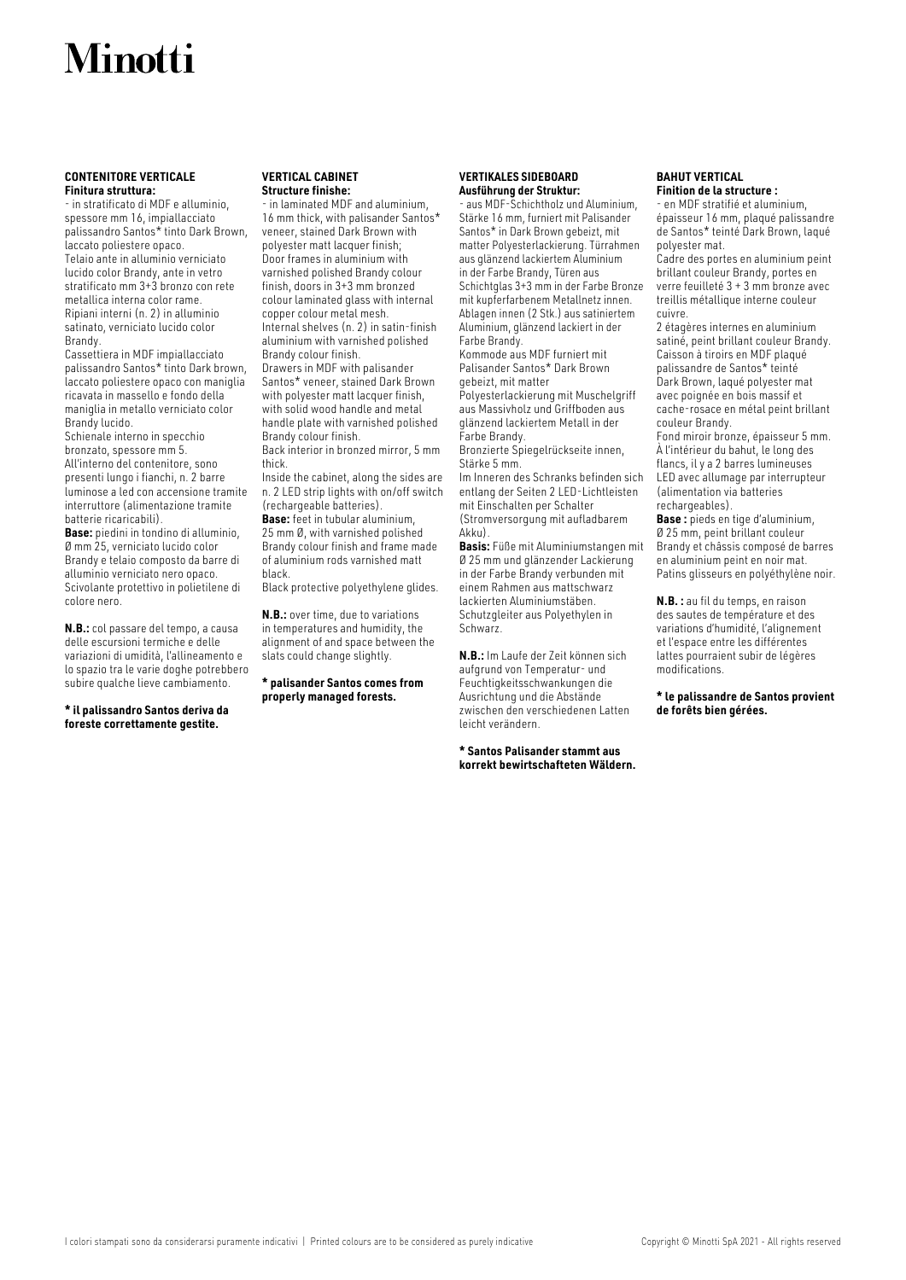## **CONTENITORE VERTICALE Finitura struttura:**

- in stratificato di MDF e alluminio, spessore mm 16, impiallacciato palissandro Santos\* tinto Dark Brown, laccato poliestere opaco. Telaio ante in alluminio verniciato lucido color Brandy, ante in vetro stratificato mm 3+3 bronzo con rete metallica interna color rame. Ripiani interni (n. 2) in alluminio satinato, verniciato lucido color Brandy.

Cassettiera in MDF impiallacciato palissandro Santos\* tinto Dark brown, laccato poliestere opaco con maniglia ricavata in massello e fondo della maniglia in metallo verniciato color Brandy lucido.

Schienale interno in specchio bronzato, spessore mm 5. All'interno del contenitore, sono presenti lungo i fianchi, n. 2 barre luminose a led con accensione tramite interruttore (alimentazione tramite batterie ricaricabili).

**Base:** piedini in tondino di alluminio, Ø mm 25, verniciato lucido color Brandy e telaio composto da barre di alluminio verniciato nero opaco. Scivolante protettivo in polietilene di colore nero.

**N.B.:** col passare del tempo, a causa delle escursioni termiche e delle variazioni di umidità, l'allineamento e lo spazio tra le varie doghe potrebbero subire qualche lieve cambiamento.

**\* il palissandro Santos deriva da foreste correttamente gestite.**

## **VERTICAL CABINET Structure finishe:**

- in laminated MDF and aluminium, 16 mm thick, with palisander Santos\* veneer, stained Dark Brown with polyester matt lacquer finish; Door frames in aluminium with varnished polished Brandy colour finish, doors in 3+3 mm bronzed colour laminated glass with internal copper colour metal mesh. Internal shelves (n. 2) in satin-finish aluminium with varnished polished Brandy colour finish.

Drawers in MDF with palisander Santos\* veneer, stained Dark Brown with polyester matt lacquer finish, with solid wood handle and metal handle plate with varnished polished Brandy colour finish.

Back interior in bronzed mirror, 5 mm thick.

Inside the cabinet, along the sides are n. 2 LED strip lights with on/off switch (rechargeable batteries).

**Base:** feet in tubular aluminium, 25 mm Ø, with varnished polished Brandy colour finish and frame made of aluminium rods varnished matt black.

Black protective polyethylene glides.

**N.B.:** over time, due to variations in temperatures and humidity, the alignment of and space between the slats could change slightly.

## **\* palisander Santos comes from properly managed forests.**

## **VERTIKALES SIDEBOARD Ausführung der Struktur:**

- aus MDF-Schichtholz und Aluminium, Stärke 16 mm, furniert mit Palisander Santos\* in Dark Brown gebeizt, mit matter Polyesterlackierung. Türrahmen aus glänzend lackiertem Aluminium in der Farbe Brandy, Türen aus Schichtglas 3+3 mm in der Farbe Bronze mit kupferfarbenem Metallnetz innen. Ablagen innen (2 Stk.) aus satiniertem Aluminium, glänzend lackiert in der Farbe Brandy.

Kommode aus MDF furniert mit Palisander Santos\* Dark Brown gebeizt, mit matter

Polyesterlackierung mit Muschelgriff aus Massivholz und Griffboden aus glänzend lackiertem Metall in der Farbe Brandy.

Bronzierte Spiegelrückseite innen, Stärke 5 mm.

Im Inneren des Schranks befinden sich entlang der Seiten 2 LED-Lichtleisten mit Einschalten per Schalter (Stromversorgung mit aufladbarem Akku).

**Basis:** Füße mit Aluminiumstangen mit Ø 25 mm und glänzender Lackierung in der Farbe Brandy verbunden mit einem Rahmen aus mattschwarz lackierten Aluminiumstäben. Schutzgleiter aus Polyethylen in Schwarz.

**N.B.:** Im Laufe der Zeit können sich aufgrund von Temperatur- und Feuchtigkeitsschwankungen die Ausrichtung und die Abstände zwischen den verschiedenen Latten leicht verändern.

**\* Santos Palisander stammt aus korrekt bewirtschafteten Wäldern.**

## **BAHUT VERTICAL Finition de la structure :**

- en MDF stratifié et aluminium, épaisseur 16 mm, plaqué palissandre de Santos\* teinté Dark Brown, laqué polyester mat.

Cadre des portes en aluminium peint brillant couleur Brandy, portes en verre feuilleté 3 + 3 mm bronze avec treillis métallique interne couleur cuivre.

2 étagères internes en aluminium satiné, peint brillant couleur Brandy. Caisson à tiroirs en MDF plaqué palissandre de Santos\* teinté Dark Brown, laqué polyester mat avec poignée en bois massif et cache-rosace en métal peint brillant couleur Brandy. Fond miroir bronze, épaisseur 5 mm. À l'intérieur du bahut, le long des

flancs, il y a 2 barres lumineuses LED avec allumage par interrupteur (alimentation via batteries rechargeables). **Base :** pieds en tige d'aluminium,

Ø 25 mm, peint brillant couleur Brandy et châssis composé de barres en aluminium peint en noir mat. Patins glisseurs en polyéthylène noir.

**N.B. :** au fil du temps, en raison des sautes de température et des variations d'humidité, l'alignement et l'espace entre les différentes lattes pourraient subir de légères modifications.

**\* le palissandre de Santos provient de forêts bien gérées.**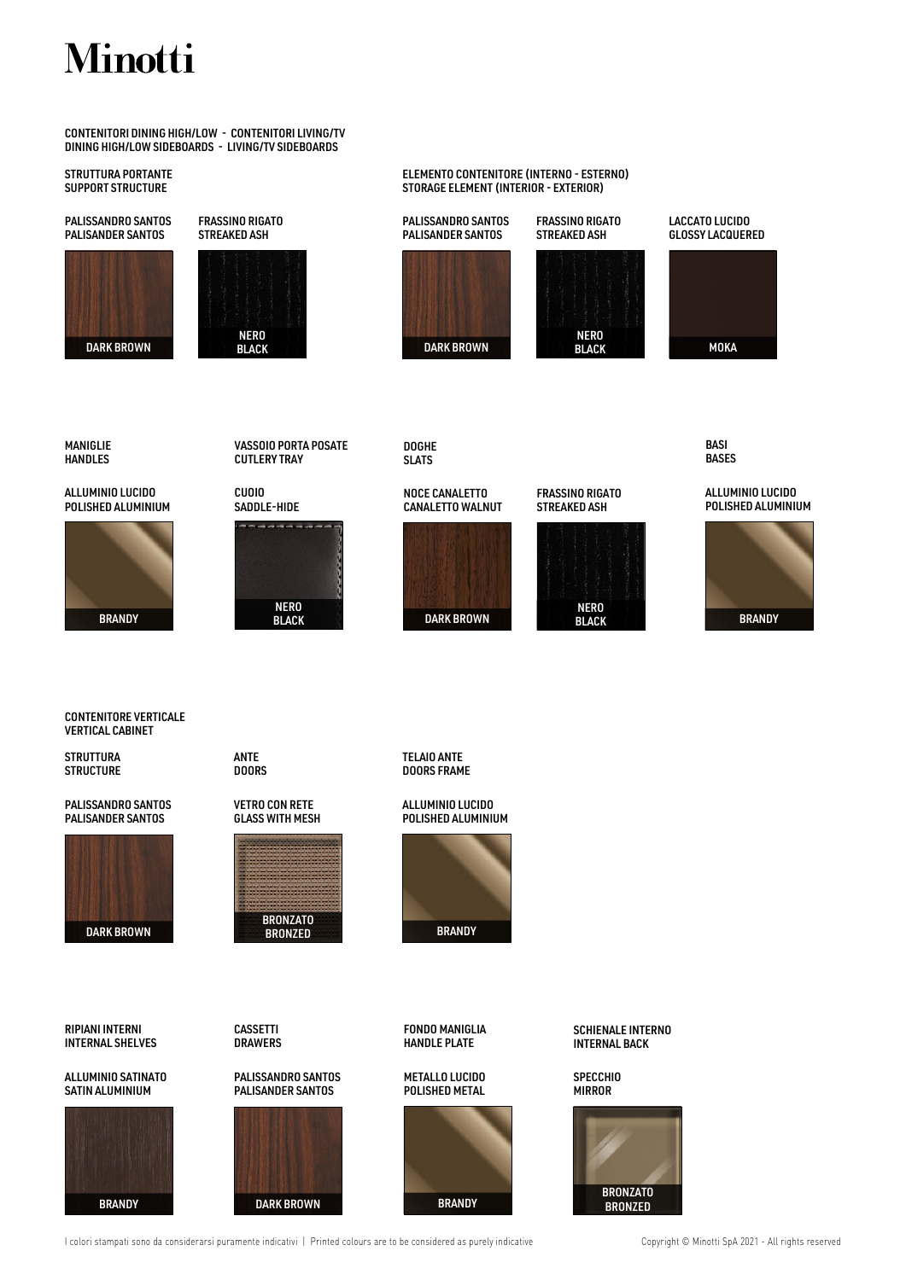CONTENITORI DINING HIGH/LOW - CONTENITORI LIVING/TV DINING HIGH/LOW SIDEBOARDS - LIVING/TV SIDEBOARDS

## STRUTTURA PORTANTE SUPPORT STRUCTURE

PALISSANDRO SANTOS PALISANDER SANTOS





FRASSINO RIGATO

NERO **BLACK** 

## ELEMENTO CONTENITORE (INTERNO - ESTERNO) STORAGE ELEMENT (INTERIOR - EXTERIOR)

PALISSANDRO SANTOS PALISANDER SANTOS





GLOSSY LACQUERED

LACCATO LUCIDO



BASI **BASES** 

MANIGLIE HANDLES

ALLUMINIO LUCIDO POLISHED ALUMINIUM



**STRUTTURA STRUCTURE** 

PALISSANDRO SANTOS PALISANDER SANTOS

RIPIANI INTERNI INTERNAL SHELVES

ALLUMINIO SATINATO SATIN ALUMINIUM

CONTENITORE VERTICALE VERTICAL CABINET

NERO

VASSOIO PORTA POSATE DOGHE SLATS

> NOCE CANALETTO CANALETTO WALNUT



NERO<br>BLACK



ALLUMINIO LUCIDO POLISHED ALUMINIUM

# BRANDY BLACK BLACK DARK BROWN BLACK BRANDY BRANDY

TELAIO ANTE

ALLUMINIO LUCIDO POLISHED ALUMINIUM

**BRANDY** 

FONDO MANIGLIA HANDLE PLATE

METALLO LUCIDO POLISHED METAL

ANTE DOORS



CUTLERY TRAY

CUOIO







**MIRROR** 



SCHIENALE INTERNO INTERNAL BACK



**SPECCHIO** 





CASSETTI **DRAWERS** 

PALISSANDRO SANTOS PALISANDER SANTOS

BRANDY DARK BROWN BRANDY BRANDY

GLASS WITH MESH

VETRO CON RETE

DOORS FRAME

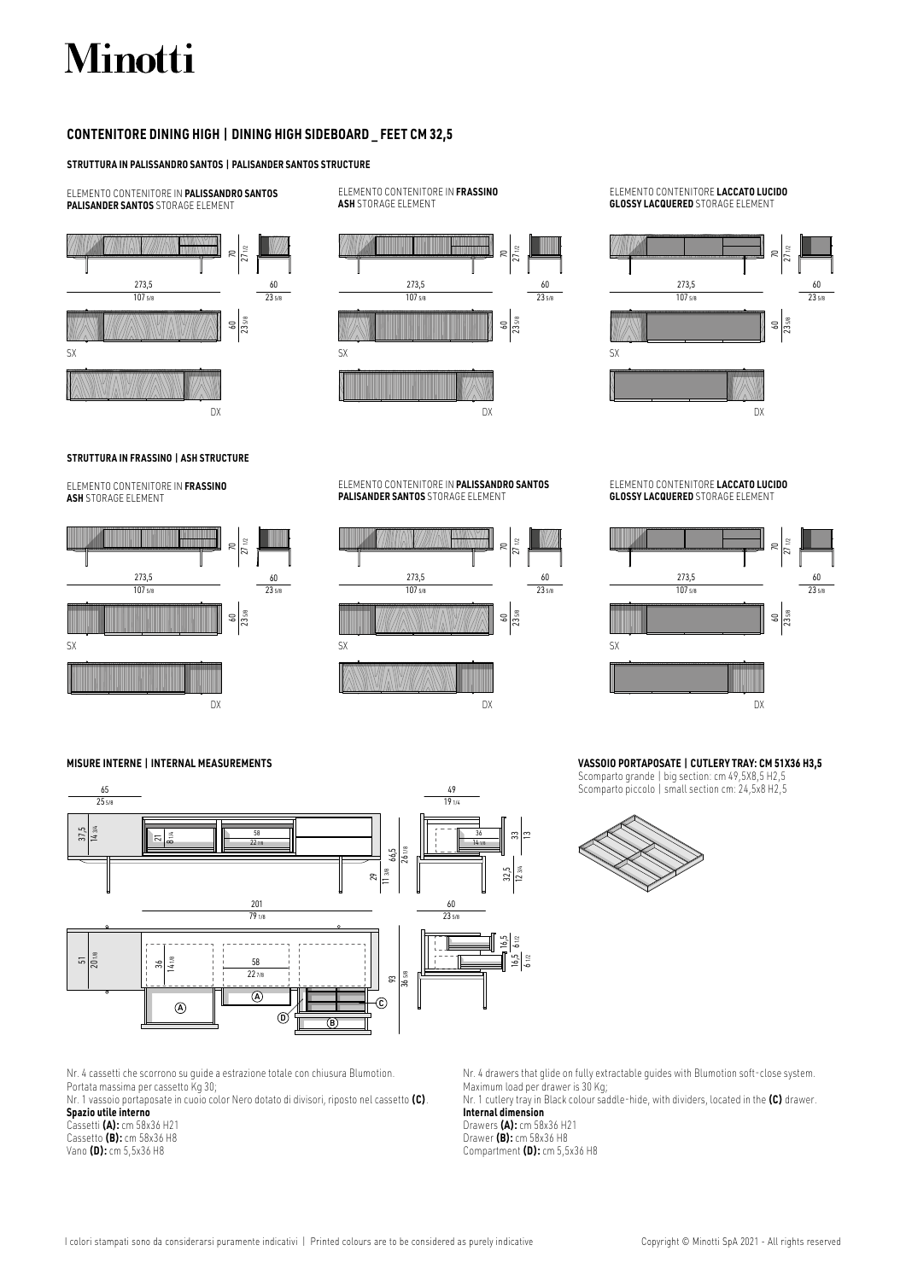## **CONTENITORE DINING HIGH | DINING HIGH SIDEBOARD \_ FEET CM 32,5**

## **STRUTTURA IN PALISSANDRO SANTOS | PALISANDER SANTOS STRUCTURE**

ELEMENTO CONTENITORE IN **PALISSANDRO SANTOS PALISANDER SANTOS** STORAGE ELEMENT



ELEMENTO CONTENITORE IN **FRASSINO ASH** STORAGE ELEMENT



## ELEMENTO CONTENITORE **LACCATO LUCIDO GLOSSY LACQUERED** STORAGE ELEMENT



## **STRUTTURA IN FRASSINO | ASH STRUCTURE**

ELEMENTO CONTENITORE IN **FRASSINO ASH** STORAGE ELEMENT



### ELEMENTO CONTENITORE IN **PALISSANDRO SANTOS PALISANDER SANTOS** STORAGE ELEMENT



ELEMENTO CONTENITORE **LACCATO LUCIDO GLOSSY LACQUERED** STORAGE ELEMENT



## **VASSOIO PORTAPOSATE | CUTLERY TRAY: CM 51X36 H3,5**

Scomparto grande | big section: cm 49,5X8,5 H2,5 Scomparto piccolo | small section cm: 24,5x8 H2,5



65

**MISURE INTERNE | INTERNAL MEASUREMENTS**



Nr. 4 cassetti che scorrono su guide a estrazione totale con chiusura Blumotion. Portata massima per cassetto Kg 30;

Nr. 1 vassoio portaposate in cuoio color Nero dotato di divisori, riposto nel cassetto **(C)**. **Spazio utile interno**

Cassetti **(A):** cm 58x36 H21 Cassetto **(B):** cm 58x36 H8 Vano **(D):** cm 5,5x36 H8

Nr. 4 drawers that glide on fully extractable guides with Blumotion soft-close system. Maximum load per drawer is 30 Kg;

Nr. 1 cutlery tray in Black colour saddle-hide, with dividers, located in the **(C)** drawer. **Internal dimension**

Drawers **(A):** cm 58x36 H21 Drawer **(B):** cm 58x36 H8 Compartment **(D):** cm 5,5x36 H8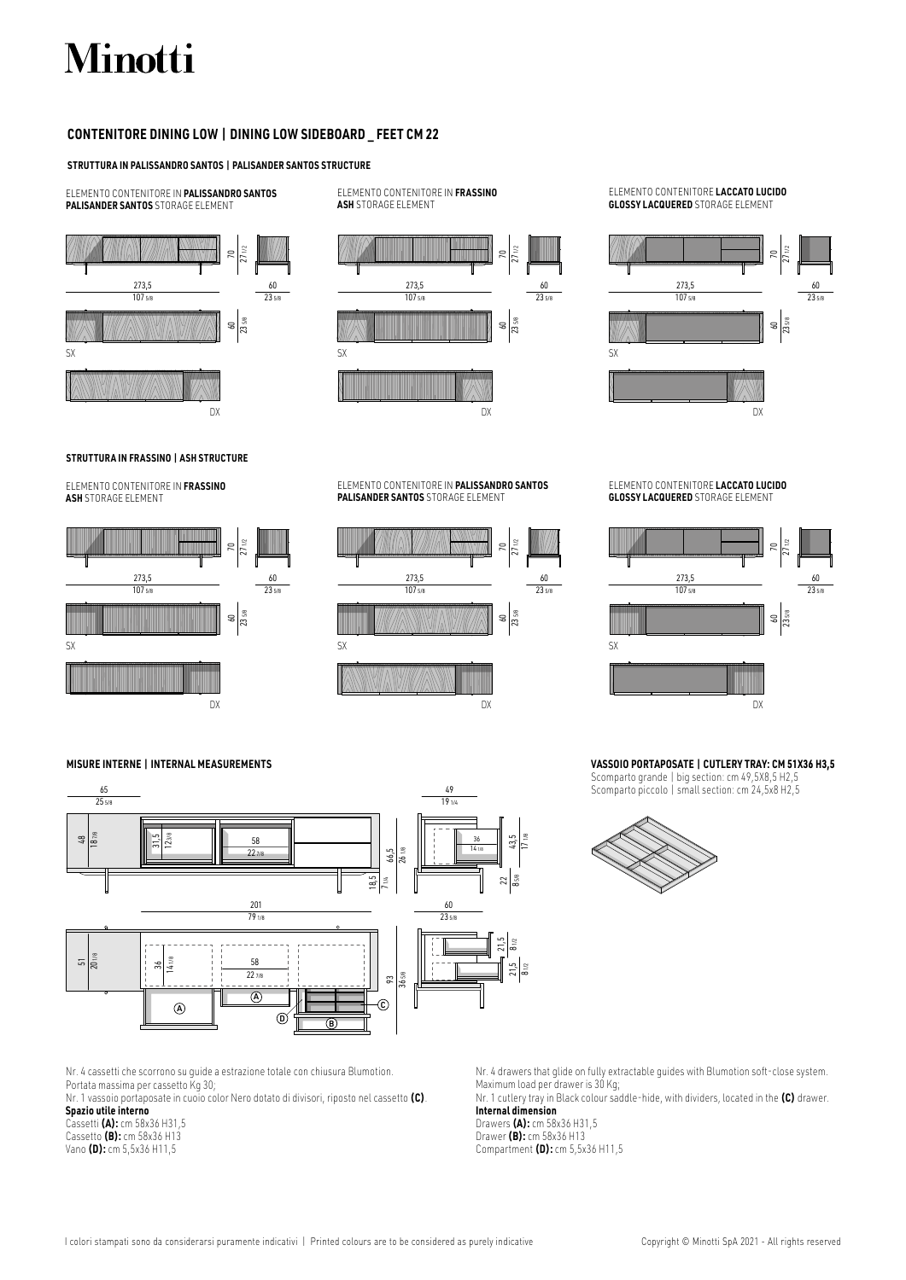## **CONTENITORE DINING LOW | DINING LOW SIDEBOARD \_ FEET CM 22**

## **STRUTTURA IN PALISSANDRO SANTOS | PALISANDER SANTOS STRUCTURE**

ELEMENTO CONTENITORE IN **PALISSANDRO SANTOS PALISANDER SANTOS** STORAGE ELEMENT



ELEMENTO CONTENITORE IN **FRASSINO ASH** STORAGE ELEMENT



## ELEMENTO CONTENITORE **LACCATO LUCIDO GLOSSY LACQUERED** STORAGE ELEMENT



## **STRUTTURA IN FRASSINO | ASH STRUCTURE**

ELEMENTO CONTENITORE IN **FRASSINO ASH** STORAGE ELEMENT



### ELEMENTO CONTENITORE IN **PALISSANDRO SANTOS PALISANDER SANTOS** STORAGE ELEMENT



ELEMENTO CONTENITORE **LACCATO LUCIDO GLOSSY LACQUERED** STORAGE ELEMENT



## **VASSOIO PORTAPOSATE | CUTLERY TRAY: CM 51X36 H3,5**

Scomparto grande | big section: cm 49,5X8,5 H2,5 Scomparto piccolo | small section: cm 24,5x8 H2,5



**MISURE INTERNE | INTERNAL MEASUREMENTS**



Nr. 4 cassetti che scorrono su guide a estrazione totale con chiusura Blumotion. Portata massima per cassetto Kg 30;

Nr. 1 vassoio portaposate in cuoio color Nero dotato di divisori, riposto nel cassetto **(C)**. **Spazio utile interno**

Cassetti **(A):** cm 58x36 H31,5 Cassetto **(B):** cm 58x36 H13 Vano **(D):** cm 5,5x36 H11,5

Nr. 4 drawers that glide on fully extractable guides with Blumotion soft-close system. Maximum load per drawer is 30 Kg;

Nr. 1 cutlery tray in Black colour saddle-hide, with dividers, located in the **(C)** drawer. **Internal dimension**

Drawers **(A):** cm 58x36 H31,5 Drawer **(B):** cm 58x36 H13 Compartment **(D):** cm 5,5x36 H11,5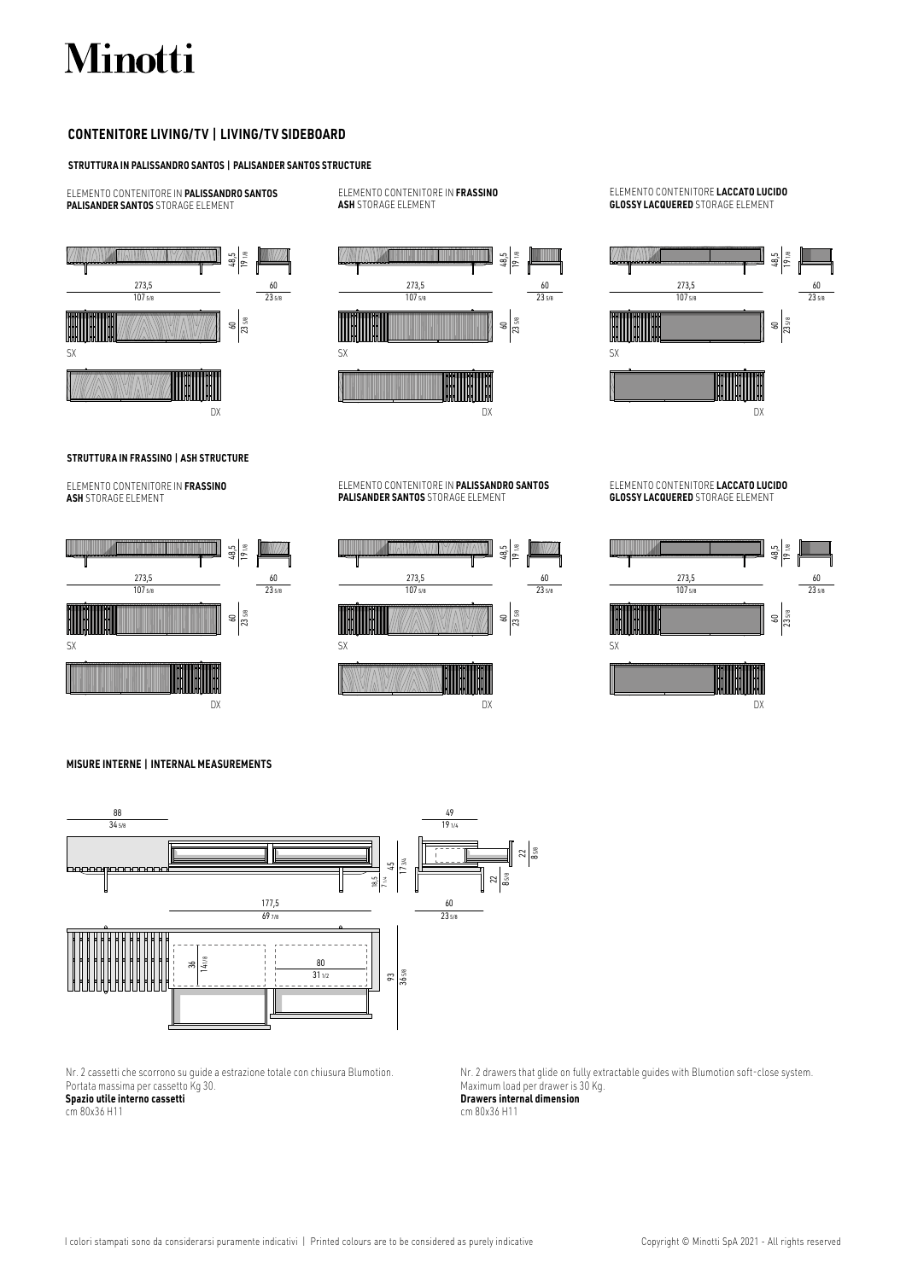## **CONTENITORE LIVING/TV | LIVING/TV SIDEBOARD**

## **STRUTTURA IN PALISSANDRO SANTOS | PALISANDER SANTOS STRUCTURE**

ELEMENTO CONTENITORE IN **PALISSANDRO SANTOS PALISANDER SANTOS** STORAGE ELEMENT

48,5 |<br>9 1/8 60 23 5/8 273,5  $\frac{1}{1075}$ 60 23 5/8 SX DX

ELEMENTO CONTENITORE IN **FRASSINO ASH** STORAGE ELEMENT



ELEMENTO CONTENITORE IN **PALISSANDRO SANTOS PALISANDER SANTOS** STORAGE ELEMENT

## ELEMENTO CONTENITORE **LACCATO LUCIDO GLOSSY LACQUERED** STORAGE ELEMENT



## **STRUTTURA IN FRASSINO | ASH STRUCTURE**

ELEMENTO CONTENITORE IN **FRASSINO ASH** STORAGE ELEMENT





ELEMENTO CONTENITORE **LACCATO LUCIDO GLOSSY LACQUERED** STORAGE ELEMENT



**MISURE INTERNE | INTERNAL MEASUREMENTS**



Nr. 2 cassetti che scorrono su guide a estrazione totale con chiusura Blumotion. Portata massima per cassetto Kg 30.

**Spazio utile interno cassetti** cm 80x36 H11

Nr. 2 drawers that glide on fully extractable guides with Blumotion soft-close system. Maximum load per drawer is 30 Kg. **Drawers internal dimension** cm 80x36 H11

I colori stampati sono da considerarsi puramente indicativi | Printed colours are to be considered as purely indicative Copyright © Minotti SpA 2021 - All rights reserved